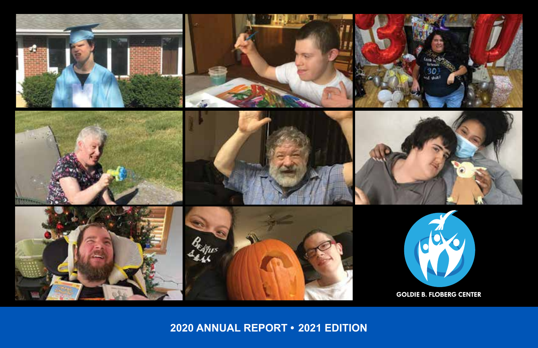

**2020 ANNUAL REPORT • 2021 EDITION**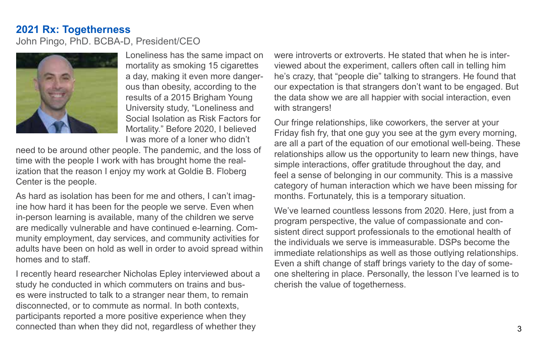## **2021 Rx: Togetherness**

John Pingo, PhD. BCBA-D, President/CEO



Loneliness has the same impact on mortality as smoking 15 cigarettes a day, making it even more dangerous than obesity, according to the results of a 2015 Brigham Young University study, "Loneliness and Social Isolation as Risk Factors for Mortality." Before 2020, I believed I was more of a loner who didn't

need to be around other people. The pandemic, and the loss of time with the people I work with has brought home the realization that the reason I enjoy my work at Goldie B. Floberg Center is the people.

As hard as isolation has been for me and others, I can't imagine how hard it has been for the people we serve. Even when in-person learning is available, many of the children we serve are medically vulnerable and have continued e-learning. Community employment, day services, and community activities for adults have been on hold as well in order to avoid spread within homes and to staff.

I recently heard researcher Nicholas Epley interviewed about a study he conducted in which commuters on trains and buses were instructed to talk to a stranger near them, to remain disconnected, or to commute as normal. In both contexts, participants reported a more positive experience when they connected than when they did not, regardless of whether they

were introverts or extroverts. He stated that when he is interviewed about the experiment, callers often call in telling him he's crazy, that "people die" talking to strangers. He found that our expectation is that strangers don't want to be engaged. But the data show we are all happier with social interaction, even with strangers!

Our fringe relationships, like coworkers, the server at your Friday fish fry, that one guy you see at the gym every morning, are all a part of the equation of our emotional well-being. These relationships allow us the opportunity to learn new things, have simple interactions, offer gratitude throughout the day, and feel a sense of belonging in our community. This is a massive category of human interaction which we have been missing for months. Fortunately, this is a temporary situation.

We've learned countless lessons from 2020. Here, just from a program perspective, the value of compassionate and consistent direct support professionals to the emotional health of the individuals we serve is immeasurable. DSPs become the immediate relationships as well as those outlying relationships. Even a shift change of staff brings variety to the day of someone sheltering in place. Personally, the lesson I've learned is to cherish the value of togetherness.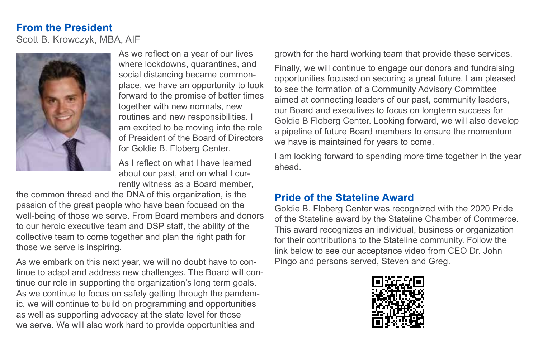# **From the President** Scott B. Krowczyk, MBA, AIF



As we reflect on a year of our lives where lockdowns, quarantines, and social distancing became commonplace, we have an opportunity to look forward to the promise of better times together with new normals, new routines and new responsibilities. I am excited to be moving into the role of President of the Board of Directors for Goldie B. Floberg Center.

As I reflect on what I have learned about our past, and on what I currently witness as a Board member,

the common thread and the DNA of this organization, is the passion of the great people who have been focused on the well-being of those we serve. From Board members and donors to our heroic executive team and DSP staff, the ability of the collective team to come together and plan the right path for those we serve is inspiring.

As we embark on this next year, we will no doubt have to continue to adapt and address new challenges. The Board will continue our role in supporting the organization's long term goals. As we continue to focus on safely getting through the pandemic, we will continue to build on programming and opportunities as well as supporting advocacy at the state level for those we serve. We will also work hard to provide opportunities and

growth for the hard working team that provide these services.

Finally, we will continue to engage our donors and fundraising opportunities focused on securing a great future. I am pleased to see the formation of a Community Advisory Committee aimed at connecting leaders of our past, community leaders, our Board and executives to focus on longterm success for Goldie B Floberg Center. Looking forward, we will also develop a pipeline of future Board members to ensure the momentum we have is maintained for years to come.

I am looking forward to spending more time together in the year ahead.

# **Pride of the Stateline Award**

Goldie B. Floberg Center was recognized with the 2020 Pride of the Stateline award by the Stateline Chamber of Commerce. This award recognizes an individual, business or organization for their contributions to the Stateline community. Follow the link below to see our acceptance video from CEO Dr. John Pingo and persons served, Steven and Greg.

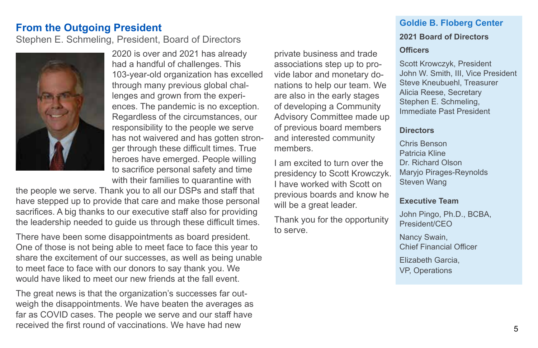## **From the Outgoing President**

Stephen E. Schmeling, President, Board of Directors



2020 is over and 2021 has already had a handful of challenges. This 103-year-old organization has excelled through many previous global challenges and grown from the experiences. The pandemic is no exception. Regardless of the circumstances, our responsibility to the people we serve has not waivered and has gotten stronger through these difficult times. True heroes have emerged. People willing to sacrifice personal safety and time with their families to quarantine with

the people we serve. Thank you to all our DSPs and staff that have stepped up to provide that care and make those personal sacrifices. A big thanks to our executive staff also for providing the leadership needed to guide us through these difficult times.

There have been some disappointments as board president. One of those is not being able to meet face to face this year to share the excitement of our successes, as well as being unable to meet face to face with our donors to say thank you. We would have liked to meet our new friends at the fall event.

The great news is that the organization's successes far outweigh the disappointments. We have beaten the averages as far as COVID cases. The people we serve and our staff have received the first round of vaccinations. We have had new

private business and trade associations step up to provide labor and monetary donations to help our team. We are also in the early stages of developing a Community Advisory Committee made up of previous board members and interested community members.

I am excited to turn over the presidency to Scott Krowczyk. I have worked with Scott on previous boards and know he will be a great leader.

Thank you for the opportunity to serve.

# **Goldie B. Floberg Center**

## **2021 Board of Directors**

### **Officers**

Scott Krowczyk, President John W. Smith, III, Vice President Steve Kneubuehl, Treasurer Alicia Reese, Secretary Stephen E. Schmeling, Immediate Past President

### **Directors**

Chris Benson Patricia Kline Dr. Richard Olson Maryjo Pirages-Reynolds Steven Wang

### **Executive Team**

John Pingo, Ph.D., BCBA, President/CEO

Nancy Swain, Chief Financial Officer

Elizabeth Garcia, VP, Operations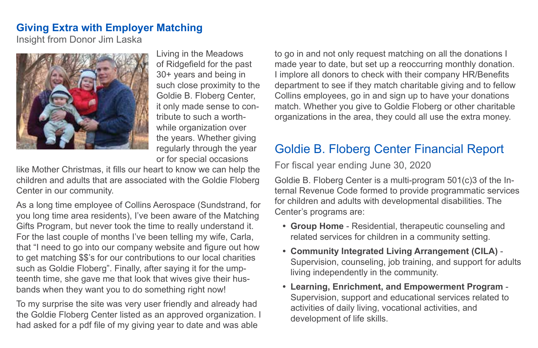# **Giving Extra with Employer Matching**

Insight from Donor Jim Laska



Living in the Meadows of Ridgefield for the past 30+ years and being in such close proximity to the Goldie B. Floberg Center, it only made sense to contribute to such a worthwhile organization over the years. Whether giving regularly through the year or for special occasions

like Mother Christmas, it fills our heart to know we can help the children and adults that are associated with the Goldie Floberg Center in our community.

As a long time employee of Collins Aerospace (Sundstrand, for you long time area residents), I've been aware of the Matching Gifts Program, but never took the time to really understand it. For the last couple of months I've been telling my wife, Carla, that "I need to go into our company website and figure out how to get matching \$\$'s for our contributions to our local charities such as Goldie Floberg". Finally, after saying it for the umpteenth time, she gave me that look that wives give their husbands when they want you to do something right now!

To my surprise the site was very user friendly and already had the Goldie Floberg Center listed as an approved organization. I had asked for a pdf file of my giving year to date and was able

to go in and not only request matching on all the donations I made year to date, but set up a reoccurring monthly donation. I implore all donors to check with their company HR/Benefits department to see if they match charitable giving and to fellow Collins employees, go in and sign up to have your donations match. Whether you give to Goldie Floberg or other charitable organizations in the area, they could all use the extra money.

# Goldie B. Floberg Center Financial Report

For fiscal year ending June 30, 2020

Goldie B. Floberg Center is a multi-program 501(c)3 of the Internal Revenue Code formed to provide programmatic services for children and adults with developmental disabilities. The Center's programs are:

- **• Group Home** Residential, therapeutic counseling and related services for children in a community setting.
- **• Community Integrated Living Arrangement (CILA)** Supervision, counseling, job training, and support for adults living independently in the community.
- **• Learning, Enrichment, and Empowerment Program** Supervision, support and educational services related to activities of daily living, vocational activities, and development of life skills.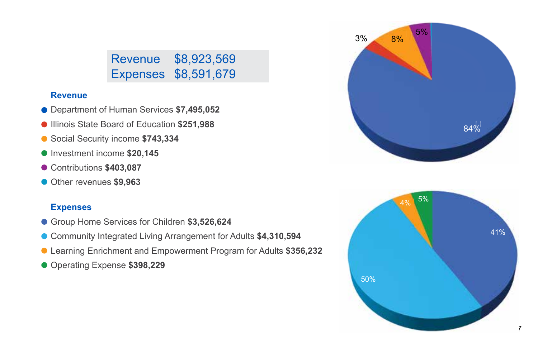# Revenue \$8,923,569 Expenses \$8,591,679

## **Revenue**

- Department of Human Services **\$7,495,052**
- Illinois State Board of Education **\$251,988**
- Social Security income **\$743,334**
- Investment income \$20,145
- Contributions **\$403,087**
- Other revenues **\$9,963**

## **Expenses**

- Group Home Services for Children **\$3,526,624**
- Community Integrated Living Arrangement for Adults **\$4,310,594**
- Learning Enrichment and Empowerment Program for Adults **\$356,232**
- Operating Expense **\$398,229**



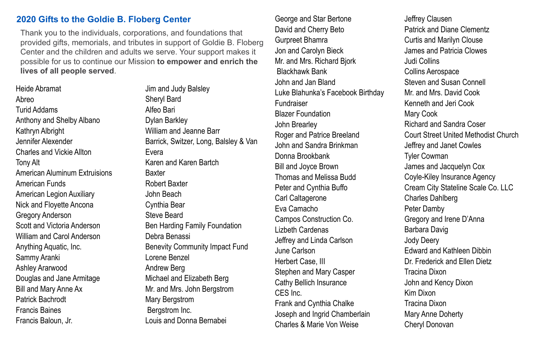#### **2020 Gifts to the Goldie B. Floberg Center**

Thank you to the individuals, corporations, and foundations that provided gifts, memorials, and tributes in support of Goldie B. Floberg Center and the children and adults we serve. Your support makes it possible for us to continue our Mission **to empower and enrich the lives of all people served**.

Heide Abramat Abreo Turid Addams Anthony and Shelby Albano Kathryn Albright Jennifer Alexender Charles and Vickie Allton Tony Alt American Aluminum Extruisions American Funds American Legion Auxiliary Nick and Floyette Ancona Gregory Anderson Scott and Victoria Anderson William and Carol Anderson Anything Aquatic, Inc. Sammy Aranki Ashley Ararwood Douglas and Jane Armitage Bill and Mary Anne Ax Patrick Bachrodt Francis Baines Francis Baloun, Jr.

Jim and Judy Balsley Sheryl Bard Alfeo Bari Dylan Barkley William and Jeanne Barr Barrick, Switzer, Long, Balsley & Van Evera Karen and Karen Bartch Baxter Robert Baxter John Beach Cynthia Bear Steve Beard Ben Harding Family Foundation Debra Benassi Benevity Community Impact Fund Lorene Benzel Andrew Berg Michael and Elizabeth Berg Mr. and Mrs. John Bergstrom Mary Bergstrom Bergstrom Inc. Louis and Donna Bernabei

George and Star Bertone David and Cherry Beto Gurpreet Bhamra Jon and Carolyn Bieck Mr. and Mrs. Richard Bjork Blackhawk Bank John and Jan Bland Luke Blahunka's Facebook Birthday Fundraiser Blazer Foundation John Brearley Roger and Patrice Breeland John and Sandra Brinkman Donna Brookbank Bill and Joyce Brown Thomas and Melissa Budd Peter and Cynthia Buffo Carl Caltagerone Eva Camacho Campos Construction Co. Lizbeth Cardenas Jeffrey and Linda Carlson June Carlson Herbert Case, III Stephen and Mary Casper Cathy Bellich Insurance CES Inc. Frank and Cynthia Chalke Joseph and Ingrid Chamberlain Charles & Marie Von Weise

Jeffrey Clausen Patrick and Diane Clementz Curtis and Marilyn Clouse James and Patricia Clowes Judi Collins Collins Aerospace Steven and Susan Connell Mr. and Mrs. David Cook Kenneth and Jeri Cook Mary Cook Richard and Sandra Coser Court Street United Methodist Church Jeffrey and Janet Cowles Tyler Cowman James and Jacquelyn Cox Coyle-Kiley Insurance Agency Cream City Stateline Scale Co. LLC Charles Dahlberg Peter Damby Gregory and Irene D'Anna Barbara Davig Jody Deery Edward and Kathleen Dibbin Dr. Frederick and Ellen Dietz Tracina Dixon John and Kency Dixon Kim Dixon Tracina Dixon Mary Anne Doherty Cheryl Donovan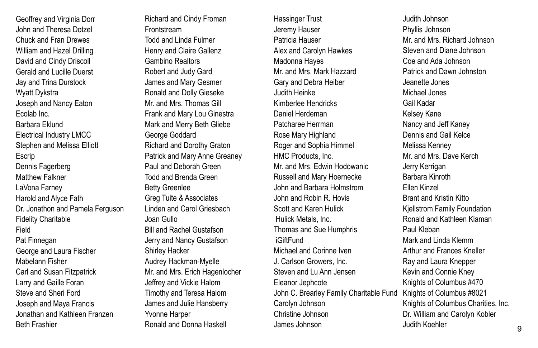Geoffrey and Virginia Dorr John and Theresa Dotzel Chuck and Fran Drewes William and Hazel Drilling David and Cindy Driscoll Gerald and Lucille Duerst Jay and Trina Durstock Wyatt Dykstra Joseph and Nancy Eaton Ecolab Inc. Barbara Eklund Electrical Industry LMCC Stephen and Melissa Elliott **Escrip** Dennis Fagerberg Matthew Falkner LaVona Farney Harold and Alyce Fath Dr. Jonathon and Pamela Ferguson Fidelity Charitable Field Pat Finnegan George and Laura Fischer Mabelann Fisher Carl and Susan Fitzpatrick Larry and Gaille Foran Steve and Sheri Ford Joseph and Maya Francis Jonathan and Kathleen Franzen Beth Frashier

Richard and Cindy Froman Frontstream Todd and Linda Fulmer Henry and Claire Gallenz Gambino Realtors Robert and Judy Gard James and Mary Gesmer Ronald and Dolly Gieseke Mr. and Mrs. Thomas Gill Frank and Mary Lou Ginestra Mark and Merry Beth Gliebe George Goddard Richard and Dorothy Graton Patrick and Mary Anne Greaney Paul and Deborah Green Todd and Brenda Green Betty Greenlee Greg Tuite & Associates Linden and Carol Griesbach Joan Gullo Bill and Rachel Gustafson Jerry and Nancy Gustafson Shirley Hacker Audrey Hackman-Myelle Mr. and Mrs. Erich Hagenlocher Jeffrey and Vickie Halom Timothy and Teresa Halom James and Julie Hansberry Yvonne Harper Ronald and Donna Haskell

Hassinger Trust Jeremy Hauser Patricia Hauser Alex and Carolyn Hawkes Madonna Hayes Mr. and Mrs. Mark Hazzard Gary and Debra Heiber Judith Heinke Kimberlee Hendricks Daniel Herdeman Patcharee Herrman Rose Mary Highland Roger and Sophia Himmel HMC Products, Inc. Mr. and Mrs. Edwin Hodowanic Russell and Mary Hoernecke John and Barbara Holmstrom John and Robin R. Hovis Scott and Karen Hulick Hulick Metals, Inc. Thomas and Sue Humphris iGiftFund Michael and Corinne Iven J. Carlson Growers, Inc. Steven and Lu Ann Jensen Eleanor Jephcote John C. Brearley Family Charitable Fund Carolyn Johnson Christine Johnson James Johnson

Judith Johnson Phyllis Johnson Mr. and Mrs. Richard Johnson Steven and Diane Johnson Coe and Ada Johnson Patrick and Dawn Johnston Jeanette Jones Michael Jones Gail Kadar Kelsey Kane Nancy and Jeff Kaney Dennis and Gail Kelce Melissa Kenney Mr. and Mrs. Dave Kerch Jerry Kerrigan Barbara Kinroth Ellen Kinzel Brant and Kristin Kitto Kjellstrom Family Foundation Ronald and Kathleen Klaman Paul Kleban Mark and Linda Klemm Arthur and Frances Kneller Ray and Laura Knepper Kevin and Connie Kney Knights of Columbus #470 Knights of Columbus #8021 Knights of Columbus Charities, Inc. Dr. William and Carolyn Kobler Judith Koehler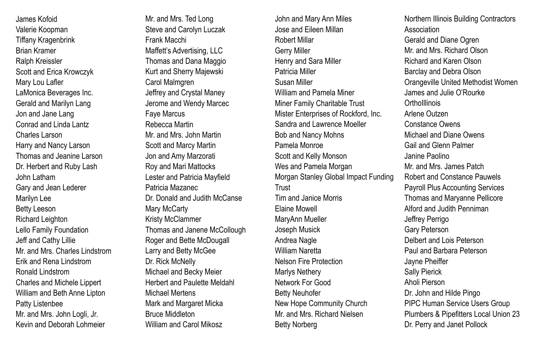James Kofoid Valerie Koopman Tiffany Kragenbrink Brian Kramer Ralph Kreissler Scott and Erica Krowczyk Mary Lou Lafler LaMonica Beverages Inc. Gerald and Marilyn Lang Jon and Jane Lang Conrad and Linda Lantz Charles Larson Harry and Nancy Larson Thomas and Jeanine Larson Dr. Herbert and Ruby Lash John Latham Gary and Jean Lederer Marilyn Lee Betty Leeson Richard Leighton Lello Family Foundation Jeff and Cathy Lillie Mr. and Mrs. Charles Lindstrom Erik and Rena Lindstrom Ronald Lindstrom Charles and Michele Lippert William and Beth Anne Lipton Patty Listenbee Mr. and Mrs. John Logli, Jr. Kevin and Deborah Lohmeier

Mr. and Mrs. Ted Long Steve and Carolyn Luczak Frank Macchi Maffett's Advertising, LLC Thomas and Dana Maggio Kurt and Sherry Majewski Carol Malmgren Jeffrey and Crystal Maney Jerome and Wendy Marcec Faye Marcus Rebecca Martin Mr. and Mrs. John Martin Scott and Marcy Martin Jon and Amy Marzorati Roy and Mari Mattocks Lester and Patricia Mayfield Patricia Mazanec Dr. Donald and Judith McCanse Mary McCarty Kristy McClammer Thomas and Janene McCollough Roger and Bette McDougall Larry and Betty McGee Dr. Rick McNelly Michael and Becky Meier Herbert and Paulette Meldahl Michael Mertens Mark and Margaret Micka Bruce Middleton William and Carol Mikosz

John and Mary Ann Miles Jose and Eileen Millan Robert Millar Gerry Miller Henry and Sara Miller Patricia Miller Susan Miller William and Pamela Miner Miner Family Charitable Trust Mister Enterprises of Rockford, Inc. Sandra and Lawrence Moeller Bob and Nancy Mohns Pamela Monroe Scott and Kelly Monson Wes and Pamela Morgan Morgan Stanley Global Impact Funding **Trust** Tim and Janice Morris Elaine Mowell MaryAnn Mueller Joseph Musick Andrea Nagle William Naretta Nelson Fire Protection Marlys Nethery Network For Good Betty Neuhofer New Hope Community Church Mr. and Mrs. Richard Nielsen Betty Norberg

Northern Illinois Building Contractors Association Gerald and Diane Ogren Mr. and Mrs. Richard Olson Richard and Karen Olson Barclay and Debra Olson Orangeville United Methodist Women James and Julie O'Rourke **Ortholllinois** Arlene Outzen Constance Owens Michael and Diane Owens Gail and Glenn Palmer Janine Paolino Mr. and Mrs. James Patch Robert and Constance Pauwels Payroll Plus Accounting Services Thomas and Maryanne Pellicore Alford and Judith Penniman Jeffrey Perrigo Gary Peterson Delbert and Lois Peterson Paul and Barbara Peterson Jayne Pheiffer Sally Pierick Aholi Pierson Dr. John and Hilde Pingo PIPC Human Service Users Group Plumbers & Pipefitters Local Union 23 Dr. Perry and Janet Pollock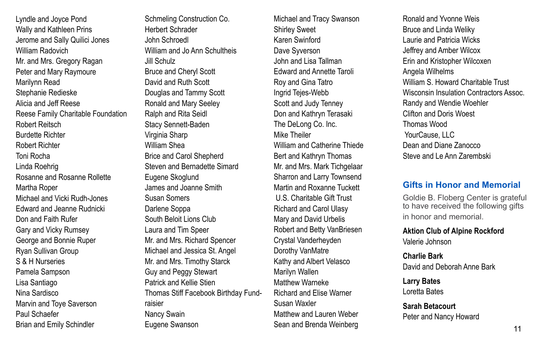Lyndle and Joyce Pond Wally and Kathleen Prins Jerome and Sally Quilici Jones William Radovich Mr. and Mrs. Gregory Ragan Peter and Mary Raymoure Marilynn Read Stephanie Redieske Alicia and Jeff Reese Reese Family Charitable Foundation Robert Reitsch Burdette Richter Robert Richter Toni Rocha Linda Roehrig Rosanne and Rosanne Rollette Martha Roper Michael and Vicki Rudh-Jones Edward and Jeanne Rudnicki Don and Faith Rufer Gary and Vicky Rumsey George and Bonnie Ruper Ryan Sullivan Group S & H Nurseries Pamela Sampson Lisa Santiago Nina Sardisco Marvin and Toye Saverson Paul Schaefer Brian and Emily Schindler

Schmeling Construction Co. Herbert Schrader John Schroedl William and Jo Ann Schultheis Jill Schulz Bruce and Cheryl Scott David and Ruth Scott Douglas and Tammy Scott Ronald and Mary Seeley Ralph and Rita Seidl Stacy Sennett-Baden Virginia Sharp William Shea Brice and Carol Shepherd Steven and Bernadette Simard Eugene Skoglund James and Joanne Smith Susan Somers Darlene Soppa South Beloit Lions Club Laura and Tim Speer Mr. and Mrs. Richard Spencer Michael and Jessica St. Angel Mr. and Mrs. Timothy Starck Guy and Peggy Stewart Patrick and Kellie Stien Thomas Stiff Facebook Birthday Fundraisier Nancy Swain Eugene Swanson

Michael and Tracy Swanson Shirley Sweet Karen Swinford Dave Syverson John and Lisa Tallman Edward and Annette Taroli Roy and Gina Tatro Ingrid Tejes-Webb Scott and Judy Tenney Don and Kathryn Terasaki The DeLong Co. Inc. Mike Theiler William and Catherine Thiede Bert and Kathryn Thomas Mr. and Mrs. Mark Tichgelaar Sharron and Larry Townsend Martin and Roxanne Tuckett U.S. Charitable Gift Trust Richard and Carol Ulasy Mary and David Urbelis Robert and Betty VanBriesen Crystal Vanderheyden Dorothy VanMatre Kathy and Albert Velasco Marilyn Wallen Matthew Warneke Richard and Elise Warner Susan Waxler Matthew and Lauren Weber Sean and Brenda Weinberg

Ronald and Yvonne Weis Bruce and Linda Weliky Laurie and Patricia Wicks Jeffrey and Amber Wilcox Erin and Kristopher Wilcoxen Angela Wilhelms William S. Howard Charitable Trust Wisconsin Insulation Contractors Assoc. Randy and Wendie Woehler Clifton and Doris Woest Thomas Wood YourCause, LLC Dean and Diane Zanocco Steve and Le Ann Zarembski

### **Gifts in Honor and Memorial**

Goldie B. Floberg Center is grateful to have received the following gifts in honor and memorial.

**Aktion Club of Alpine Rockford**  Valerie Johnson

**Charlie Bark**  David and Deborah Anne Bark

**Larry Bates**  Loretta Bates

**Sarah Betacourt**  Peter and Nancy Howard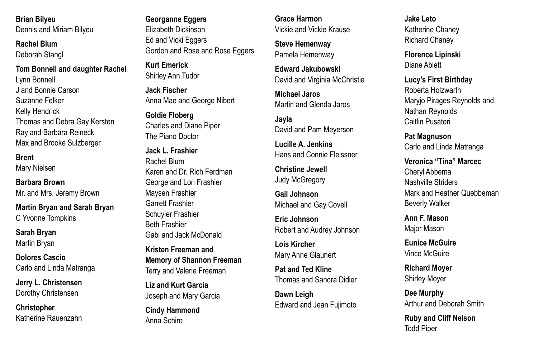**Brian Bilyeu**  Dennis and Miriam Bilyeu

**Rachel Blum**  Deborah Stangl

**Tom Bonnell and daughter Rachel**  Lynn Bonnell J and Bonnie Carson Suzanne Felker Kelly Hendrick Thomas and Debra Gay Kersten Ray and Barbara Reineck Max and Brooke Sulzberger

#### **Brent**

Mary Nielsen

**Barbara Brown** 

Mr. and Mrs. Jeremy Brown

**Martin Bryan and Sarah Bryan**  C Yvonne Tompkins

**Sarah Bryan** Martin Bryan

**Dolores Cascio** Carlo and Linda Matranga

**Jerry L. Christensen**  Dorothy Christensen

**Christopher**  Katherine Rauenzahn

### **Georganne Eggers**

Elizabeth Dickinson Ed and Vicki Eggers Gordon and Rose and Rose Eggers

**Kurt Emerick**  Shirley Ann Tudor

**Jack Fischer**  Anna Mae and George Nibert

**Goldie Floberg**  Charles and Diane Piper The Piano Doctor

**Jack L. Frashier**  Rachel Blum Karen and Dr. Rich Ferdman George and Lori Frashier Maysen Frashier Garrett Frashier Schuyler Frashier Beth Frashier Gabi and Jack McDonald

**Kristen Freeman and Memory of Shannon Freeman**  Terry and Valerie Freeman

**Liz and Kurt Garcia**  Joseph and Mary Garcia

**Cindy Hammond**  Anna Schiro

**Grace Harmon**  Vickie and Vickie Krause

**Steve Hemenway**  Pamela Hemenway

**Edward Jakubowski**  David and Virginia McChristie

**Michael Jaros**  Martin and Glenda Jaros

**Jayla**  David and Pam Meyerson

**Lucille A. Jenkins**  Hans and Connie Fleissner

**Christine Jewell**  Judy McGregory

**Gail Johnson**  Michael and Gay Covell

**Eric Johnson**  Robert and Audrey Johnson

**Lois Kircher**  Mary Anne Glaunert

**Pat and Ted Kline**  Thomas and Sandra Didier

**Dawn Leigh**  Edward and Jean Fujimoto **Jake Leto**  Katherine Chaney Richard Chaney

**Florence Lipinski**  Diane Ablett

**Lucy's First Birthday**  Roberta Holzwarth Maryjo Pirages Reynolds and Nathan Reynolds Caitlin Pusateri

**Pat Magnuson**  Carlo and Linda Matranga

**Veronica "Tina" Marcec**  Cheryl Abbema Nashville Striders Mark and Heather Quebbeman Beverly Walker

**Ann F. Mason**  Major Mason

**Eunice McGuire**  Vince McGuire

**Richard Moyer**  Shirley Moyer

**Dee Murphy**  Arthur and Deborah Smith

**Ruby and Cliff Nelson**  Todd Piper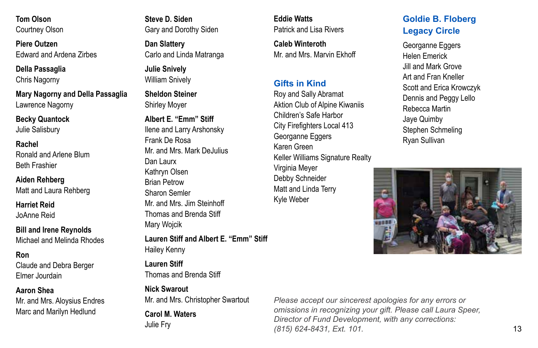**Tom Olson**  Courtney Olson

**Piere Outzen**  Edward and Ardena Zirbes

**Della Passaglia** 

Chris Nagorny

**Mary Nagorny and Della Passaglia**  Lawrence Nagorny

**Becky Quantock** 

Julie Salisbury

**Rachel**  Ronald and Arlene Blum Beth Frashier

**Aiden Rehberg** 

Matt and Laura Rehberg

**Harriet Reid**  JoAnne Reid

**Bill and Irene Reynolds**  Michael and Melinda Rhodes

**Ron** 

Claude and Debra Berger Elmer Jourdain

#### **Aaron Shea**

Mr. and Mrs. Aloysius Endres Marc and Marilyn Hedlund

**Steve D. Siden**  Gary and Dorothy Siden

**Dan Slattery**  Carlo and Linda Matranga

**Julie Snively**  William Snively

**Sheldon Steiner**  Shirley Moyer

**Albert E. "Emm" Stiff**  Ilene and Larry Arshonsky Frank De Rosa Mr. and Mrs. Mark DeJulius Dan Laurx Kathryn Olsen Brian Petrow Sharon Semler Mr. and Mrs. Jim Steinhoff Thomas and Brenda Stiff Mary Wojcik

**Lauren Stiff and Albert E. "Emm" Stiff**  Hailey Kenny

**Lauren Stiff**  Thomas and Brenda Stiff

**Nick Swarout**  Mr. and Mrs. Christopher Swartout

**Carol M. Waters**  Julie Fry

**Eddie Watts**  Patrick and Lisa Rivers

**Caleb Winteroth**  Mr. and Mrs. Marvin Ekhoff

## **Gifts in Kind**

Roy and Sally Abramat Aktion Club of Alpine Kiwaniis Children's Safe Harbor City Firefighters Local 413 Georganne Eggers Karen Green Keller Williams Signature Realty Virginia Meyer Debby Schneider Matt and Linda Terry Kyle Weber

## **Goldie B. Floberg Legacy Circle**

Georganne Eggers Helen Emerick Jill and Mark Grove Art and Fran Kneller Scott and Erica Krowczyk Dennis and Peggy Lello Rebecca Martin Jaye Quimby Stephen Schmeling Ryan Sullivan



*Please accept our sincerest apologies for any errors or omissions in recognizing your gift. Please call Laura Speer, Director of Fund Development, with any corrections: (815) 624-8431, Ext. 101.*